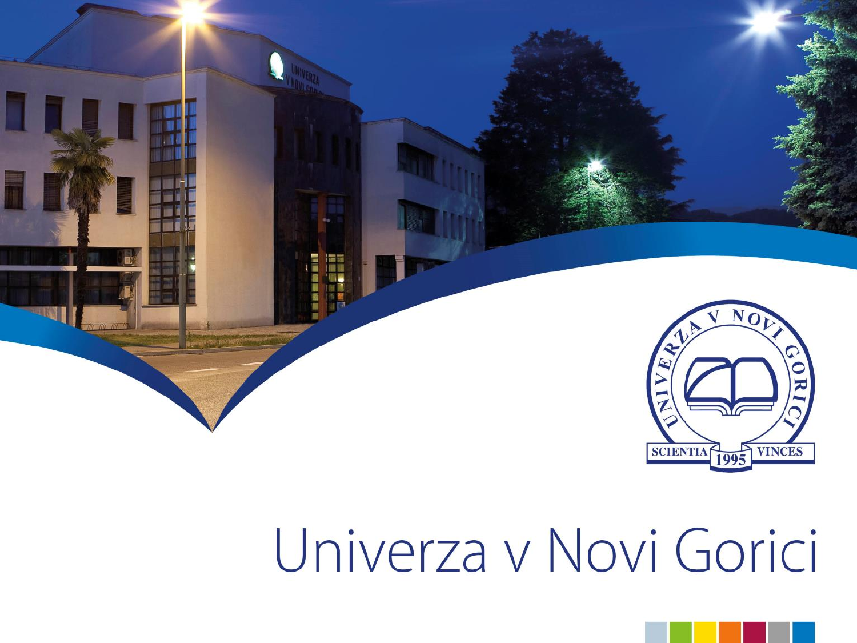

# Univerza v Novi Gorici

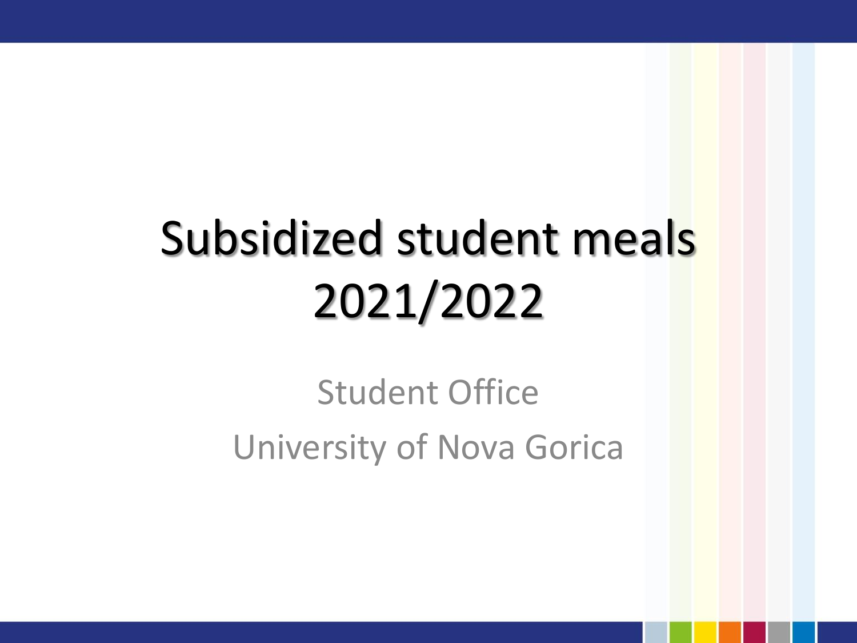## Subsidized student meals 2021/2022

Student Office University of Nova Gorica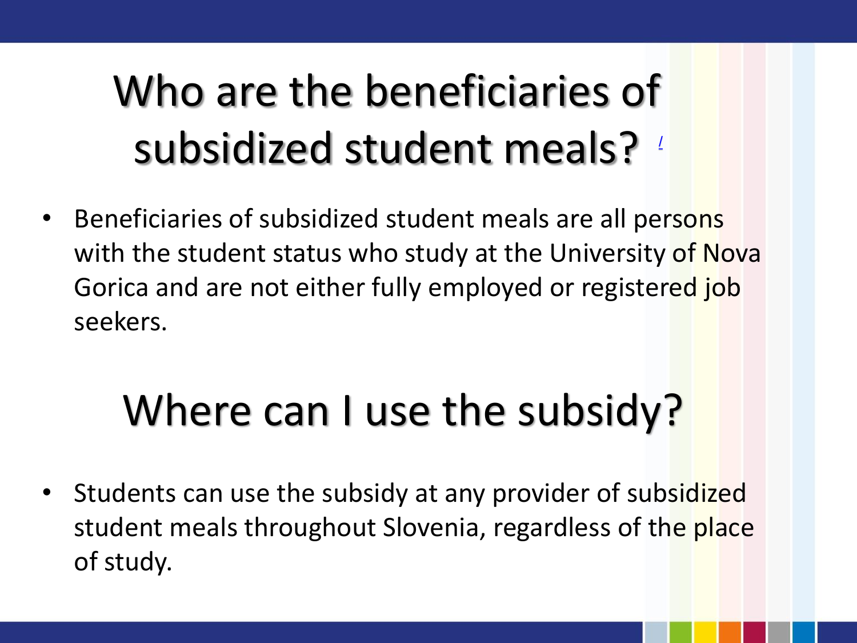### Who are the beneficiaries of subsidized student meals?

Beneficiaries of subsidized student meals are all persons with the student status who study at the University of Nova Gorica and are not either fully employed or registered job seekers.

### Where can I use the subsidy?

• Students can use the subsidy at any provider of subsidized student meals throughout Slovenia, regardless of the place of study.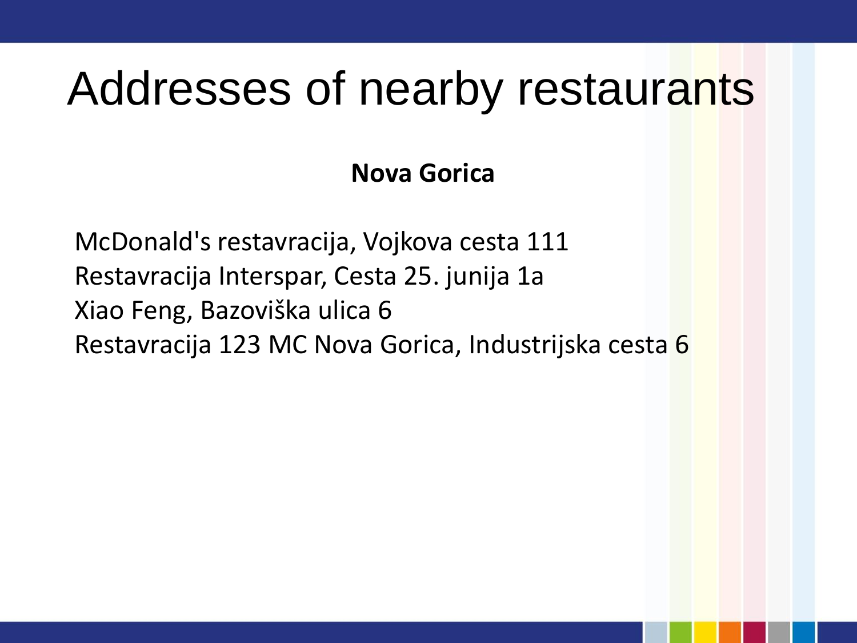### Addresses of nearby restaurants

### **Nova Gorica**

McDonald's restavracija, Vojkova cesta 111 Restavracija Interspar, Cesta 25. junija 1a Xiao Feng, Bazoviška ulica 6 Restavracija 123 MC Nova Gorica, Industrijska cesta 6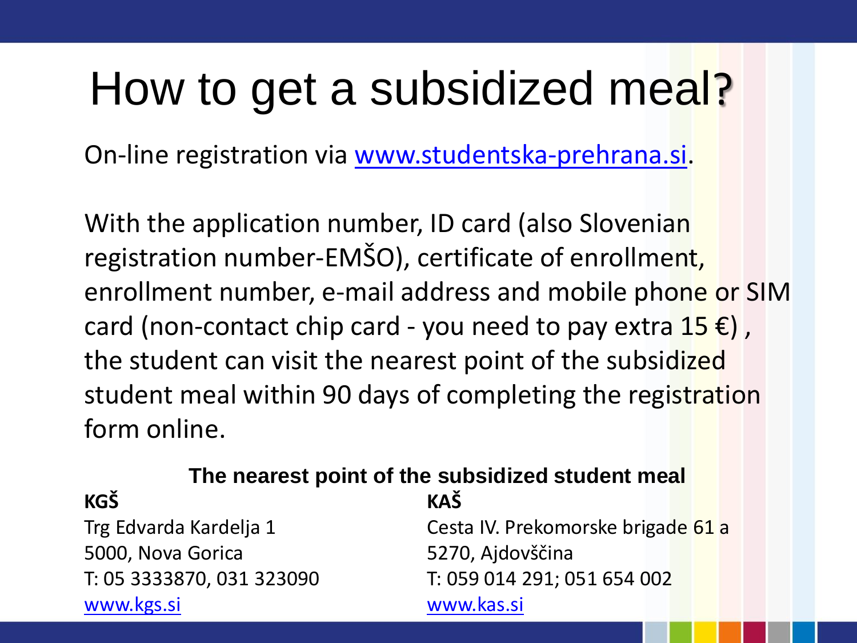### How to get a subsidized meal?

On-line registration via [www.studentska-prehrana.si.](http://www.studentska-prehrana.si/)

With the application number, ID card (also Slovenian registration number-EMŠO), certificate of enrollment, enrollment number, e-mail address and mobile phone or SIM card (non-contact chip card - you need to pay extra  $15 \in$ ), the student can visit the nearest point of the subsidized student meal within 90 days of completing the registration form online.

### **The nearest point of the subsidized student meal**

5000, Nova Gorica 5270, Ajdovščina [www.kgs.si](http://www.kgs.si/) [www.kas.si](http://www.kas.si/)

**KGŠ KAŠ**

Trg Edvarda Kardelja 1 Cesta IV. Prekomorske brigade 61 a T: 05 3333870, 031 323090 T: 059 014 291; 051 654 002